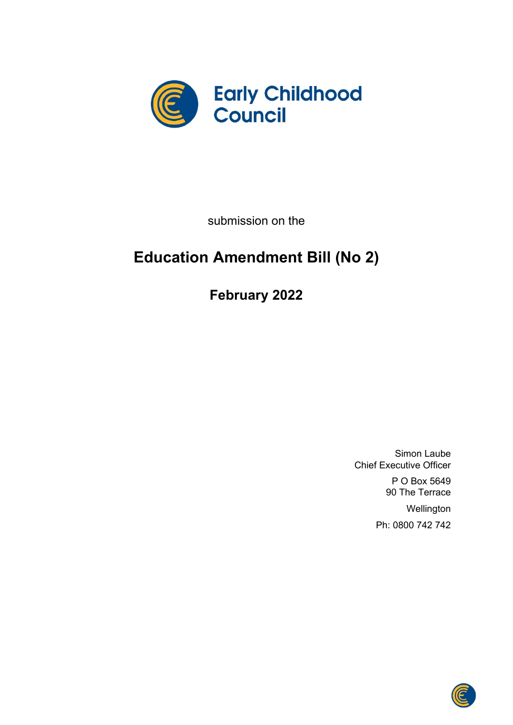

submission on the

# **Education Amendment Bill (No 2)**

**February 2022**

Simon Laube Chief Executive Officer

> P O Box 5649 90 The Terrace

**Wellington** Ph: 0800 742 742

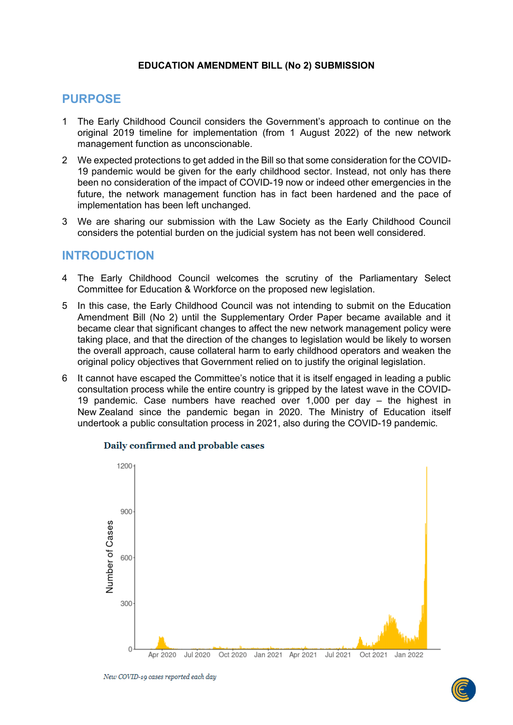### **EDUCATION AMENDMENT BILL (No 2) SUBMISSION**

# **PURPOSE**

- 1 The Early Childhood Council considers the Government's approach to continue on the original 2019 timeline for implementation (from 1 August 2022) of the new network management function as unconscionable.
- 2 We expected protections to get added in the Bill so that some consideration for the COVID-19 pandemic would be given for the early childhood sector. Instead, not only has there been no consideration of the impact of COVID-19 now or indeed other emergencies in the future, the network management function has in fact been hardened and the pace of implementation has been left unchanged.
- 3 We are sharing our submission with the Law Society as the Early Childhood Council considers the potential burden on the judicial system has not been well considered.

# **INTRODUCTION**

- 4 The Early Childhood Council welcomes the scrutiny of the Parliamentary Select Committee for Education & Workforce on the proposed new legislation.
- 5 In this case, the Early Childhood Council was not intending to submit on the Education Amendment Bill (No 2) until the Supplementary Order Paper became available and it became clear that significant changes to affect the new network management policy were taking place, and that the direction of the changes to legislation would be likely to worsen the overall approach, cause collateral harm to early childhood operators and weaken the original policy objectives that Government relied on to justify the original legislation.
- 6 It cannot have escaped the Committee's notice that it is itself engaged in leading a public consultation process while the entire country is gripped by the latest wave in the COVID-19 pandemic. Case numbers have reached over 1,000 per day – the highest in New Zealand since the pandemic began in 2020. The Ministry of Education itself undertook a public consultation process in 2021, also during the COVID-19 pandemic.



#### Daily confirmed and probable cases

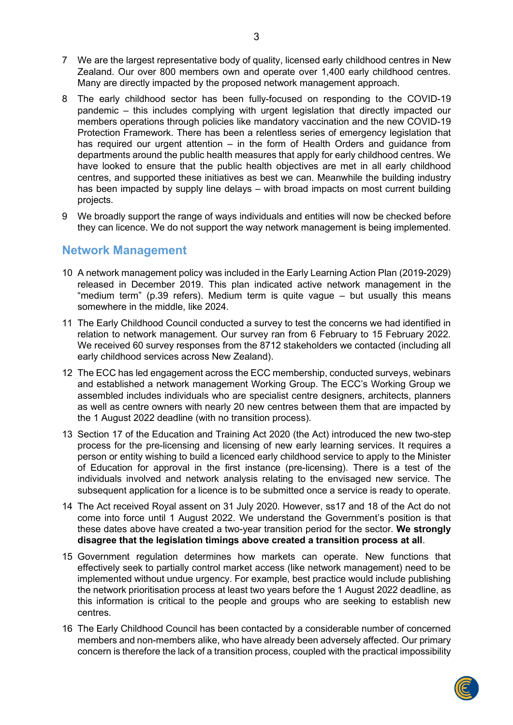- 7 We are the largest representative body of quality, licensed early childhood centres in New Zealand. Our over 800 members own and operate over 1,400 early childhood centres. Many are directly impacted by the proposed network management approach.
- 8 The early childhood sector has been fully-focused on responding to the COVID-19 pandemic – this includes complying with urgent legislation that directly impacted our members operations through policies like mandatory vaccination and the new COVID-19 Protection Framework. There has been a relentless series of emergency legislation that has required our urgent attention – in the form of Health Orders and guidance from departments around the public health measures that apply for early childhood centres. We have looked to ensure that the public health objectives are met in all early childhood centres, and supported these initiatives as best we can. Meanwhile the building industry has been impacted by supply line delays – with broad impacts on most current building projects.
- 9 We broadly support the range of ways individuals and entities will now be checked before they can licence. We do not support the way network management is being implemented.

# **Network Management**

- 10 A network management policy was included in the Early Learning Action Plan (2019-2029) released in December 2019. This plan indicated active network management in the "medium term" (p.39 refers). Medium term is quite vague – but usually this means somewhere in the middle, like 2024.
- 11 The Early Childhood Council conducted a survey to test the concerns we had identified in relation to network management. Our survey ran from 6 February to 15 February 2022. We received 60 survey responses from the 8712 stakeholders we contacted (including all early childhood services across New Zealand).
- 12 The ECC has led engagement across the ECC membership, conducted surveys, webinars and established a network management Working Group. The ECC's Working Group we assembled includes individuals who are specialist centre designers, architects, planners as well as centre owners with nearly 20 new centres between them that are impacted by the 1 August 2022 deadline (with no transition process).
- 13 Section 17 of the Education and Training Act 2020 (the Act) introduced the new two-step process for the pre-licensing and licensing of new early learning services. It requires a person or entity wishing to build a licenced early childhood service to apply to the Minister of Education for approval in the first instance (pre-licensing). There is a test of the individuals involved and network analysis relating to the envisaged new service. The subsequent application for a licence is to be submitted once a service is ready to operate.
- 14 The Act received Royal assent on 31 July 2020. However, ss17 and 18 of the Act do not come into force until 1 August 2022. We understand the Government's position is that these dates above have created a two-year transition period for the sector. **We strongly disagree that the legislation timings above created a transition process at all**.
- 15 Government regulation determines how markets can operate. New functions that effectively seek to partially control market access (like network management) need to be implemented without undue urgency. For example, best practice would include publishing the network prioritisation process at least two years before the 1 August 2022 deadline, as this information is critical to the people and groups who are seeking to establish new centres.
- 16 The Early Childhood Council has been contacted by a considerable number of concerned members and non-members alike, who have already been adversely affected. Our primary concern is therefore the lack of a transition process, coupled with the practical impossibility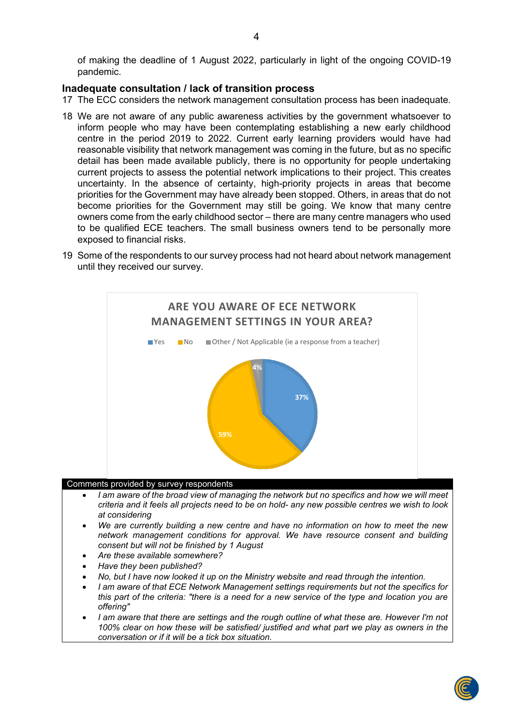of making the deadline of 1 August 2022, particularly in light of the ongoing COVID-19 pandemic.

#### **Inadequate consultation / lack of transition process**

- 17 The ECC considers the network management consultation process has been inadequate.
- 18 We are not aware of any public awareness activities by the government whatsoever to inform people who may have been contemplating establishing a new early childhood centre in the period 2019 to 2022. Current early learning providers would have had reasonable visibility that network management was coming in the future, but as no specific detail has been made available publicly, there is no opportunity for people undertaking current projects to assess the potential network implications to their project. This creates uncertainty. In the absence of certainty, high-priority projects in areas that become priorities for the Government may have already been stopped. Others, in areas that do not become priorities for the Government may still be going. We know that many centre owners come from the early childhood sector – there are many centre managers who used to be qualified ECE teachers. The small business owners tend to be personally more exposed to financial risks.
- 19 Some of the respondents to our survey process had not heard about network management until they received our survey.



#### Comments provided by survey respondents

- *I am aware of the broad view of managing the network but no specifics and how we will meet criteria and it feels all projects need to be on hold- any new possible centres we wish to look at considering*
- *We are currently building a new centre and have no information on how to meet the new network management conditions for approval. We have resource consent and building consent but will not be finished by 1 August*
- *Are these available somewhere?*
- *Have they been published?*
- *No, but I have now looked it up on the Ministry website and read through the intention.*
- *I am aware of that ECE Network Management settings requirements but not the specifics for this part of the criteria: "there is a need for a new service of the type and location you are offering"*
- *I am aware that there are settings and the rough outline of what these are. However I'm not 100% clear on how these will be satisfied/ justified and what part we play as owners in the conversation or if it will be a tick box situation.*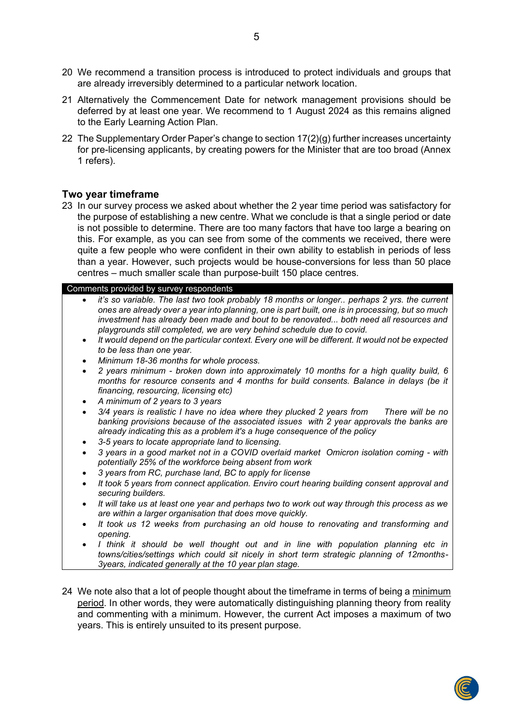- 20 We recommend a transition process is introduced to protect individuals and groups that are already irreversibly determined to a particular network location.
- 21 Alternatively the Commencement Date for network management provisions should be deferred by at least one year. We recommend to 1 August 2024 as this remains aligned to the Early Learning Action Plan.
- 22 The Supplementary Order Paper's change to section 17(2)(g) further increases uncertainty for pre-licensing applicants, by creating powers for the Minister that are too broad (Annex 1 refers).

#### **Two year timeframe**

23 In our survey process we asked about whether the 2 year time period was satisfactory for the purpose of establishing a new centre. What we conclude is that a single period or date is not possible to determine. There are too many factors that have too large a bearing on this. For example, as you can see from some of the comments we received, there were quite a few people who were confident in their own ability to establish in periods of less than a year. However, such projects would be house-conversions for less than 50 place centres – much smaller scale than purpose-built 150 place centres.

#### Comments provided by survey respondents

- *it's so variable. The last two took probably 18 months or longer.. perhaps 2 yrs. the current ones are already over a year into planning, one is part built, one is in processing, but so much investment has already been made and bout to be renovated... both need all resources and playgrounds still completed, we are very behind schedule due to covid.*
- *It would depend on the particular context. Every one will be different. It would not be expected to be less than one year.*
- *Minimum 18-36 months for whole process.*
- *2 years minimum - broken down into approximately 10 months for a high quality build, 6 months for resource consents and 4 months for build consents. Balance in delays (be it financing, resourcing, licensing etc)*
- *A minimum of 2 years to 3 years*
- *3/4 years is realistic I have no idea where they plucked 2 years from There will be no banking provisions because of the associated issues with 2 year approvals the banks are already indicating this as a problem it's a huge consequence of the policy*
- *3-5 years to locate appropriate land to licensing.*
- *3 years in a good market not in a COVID overlaid market Omicron isolation coming - with potentially 25% of the workforce being absent from work*
- *3 years from RC, purchase land, BC to apply for license*
- *It took 5 years from connect application. Enviro court hearing building consent approval and securing builders.*
- *It will take us at least one year and perhaps two to work out way through this process as we are within a larger organisation that does move quickly.*
- *It took us 12 weeks from purchasing an old house to renovating and transforming and opening.*
- *I think it should be well thought out and in line with population planning etc in towns/cities/settings which could sit nicely in short term strategic planning of 12months-3years, indicated generally at the 10 year plan stage.*
- 24 We note also that a lot of people thought about the timeframe in terms of being a minimum period. In other words, they were automatically distinguishing planning theory from reality and commenting with a minimum. However, the current Act imposes a maximum of two years. This is entirely unsuited to its present purpose.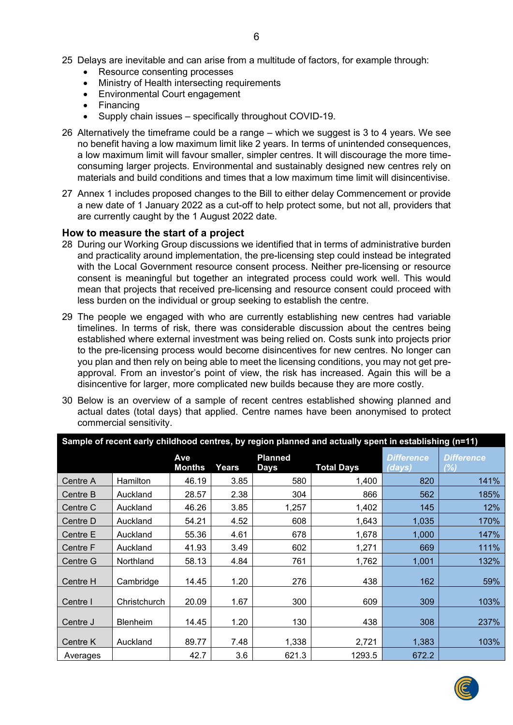- 25 Delays are inevitable and can arise from a multitude of factors, for example through:
	- Resource consenting processes
	- Ministry of Health intersecting requirements
	- Environmental Court engagement
	- **Financing**
	- Supply chain issues specifically throughout COVID-19.
- 26 Alternatively the timeframe could be a range which we suggest is 3 to 4 years. We see no benefit having a low maximum limit like 2 years. In terms of unintended consequences, a low maximum limit will favour smaller, simpler centres. It will discourage the more timeconsuming larger projects. Environmental and sustainably designed new centres rely on materials and build conditions and times that a low maximum time limit will disincentivise.
- 27 Annex 1 includes proposed changes to the Bill to either delay Commencement or provide a new date of 1 January 2022 as a cut-off to help protect some, but not all, providers that are currently caught by the 1 August 2022 date.

# **How to measure the start of a project**

- 28 During our Working Group discussions we identified that in terms of administrative burden and practicality around implementation, the pre-licensing step could instead be integrated with the Local Government resource consent process. Neither pre-licensing or resource consent is meaningful but together an integrated process could work well. This would mean that projects that received pre-licensing and resource consent could proceed with less burden on the individual or group seeking to establish the centre.
- 29 The people we engaged with who are currently establishing new centres had variable timelines. In terms of risk, there was considerable discussion about the centres being established where external investment was being relied on. Costs sunk into projects prior to the pre-licensing process would become disincentives for new centres. No longer can you plan and then rely on being able to meet the licensing conditions, you may not get preapproval. From an investor's point of view, the risk has increased. Again this will be a disincentive for larger, more complicated new builds because they are more costly.
- 30 Below is an overview of a sample of recent centres established showing planned and actual dates (total days) that applied. Centre names have been anonymised to protect commercial sensitivity.

| Sample of recent early childhood centres, by region planned and actually spent in establishing (n=11) |                 |               |       |                        |                   |                             |                          |  |
|-------------------------------------------------------------------------------------------------------|-----------------|---------------|-------|------------------------|-------------------|-----------------------------|--------------------------|--|
|                                                                                                       |                 | Ave<br>Months | Years | <b>Planned</b><br>Days | <b>Total Days</b> | <b>Difference</b><br>(days) | <b>Difference</b><br>(%) |  |
| Centre A                                                                                              | Hamilton        | 46.19         | 3.85  | 580                    | 1,400             | 820                         | 141%                     |  |
| Centre B                                                                                              | Auckland        | 28.57         | 2.38  | 304                    | 866               | 562                         | 185%                     |  |
| Centre C                                                                                              | Auckland        | 46.26         | 3.85  | 1,257                  | 1,402             | 145                         | 12%                      |  |
| Centre D                                                                                              | Auckland        | 54.21         | 4.52  | 608                    | 1,643             | 1,035                       | 170%                     |  |
| Centre E                                                                                              | Auckland        | 55.36         | 4.61  | 678                    | 1,678             | 1,000                       | 147%                     |  |
| Centre F                                                                                              | Auckland        | 41.93         | 3.49  | 602                    | 1,271             | 669                         | 111%                     |  |
| Centre G                                                                                              | Northland       | 58.13         | 4.84  | 761                    | 1,762             | 1,001                       | 132%                     |  |
| Centre H                                                                                              | Cambridge       | 14.45         | 1.20  | 276                    | 438               | 162                         | 59%                      |  |
| Centre I                                                                                              | Christchurch    | 20.09         | 1.67  | 300                    | 609               | 309                         | 103%                     |  |
| Centre J                                                                                              | <b>Blenheim</b> | 14.45         | 1.20  | 130                    | 438               | 308                         | 237%                     |  |
| Centre K                                                                                              | Auckland        | 89.77         | 7.48  | 1,338                  | 2,721             | 1,383                       | 103%                     |  |
| Averages                                                                                              |                 | 42.7          | 3.6   | 621.3                  | 1293.5            | 672.2                       |                          |  |

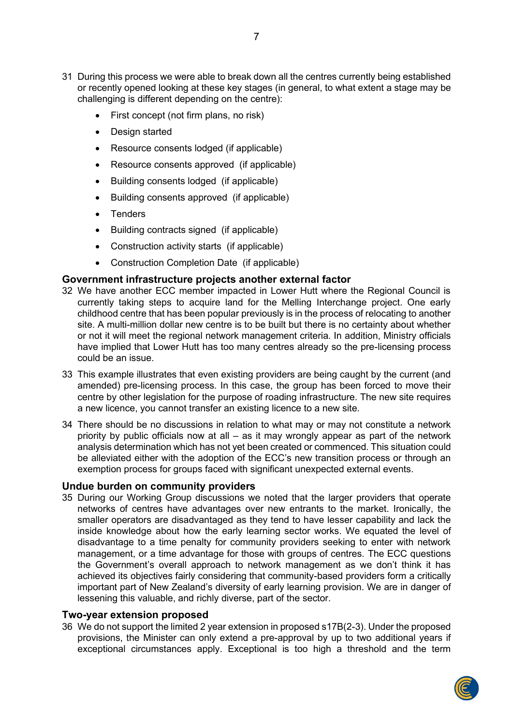- 31 During this process we were able to break down all the centres currently being established or recently opened looking at these key stages (in general, to what extent a stage may be challenging is different depending on the centre):
	- First concept (not firm plans, no risk)
	- Design started
	- Resource consents lodged (if applicable)
	- Resource consents approved (if applicable)
	- Building consents lodged (if applicable)
	- Building consents approved (if applicable)
	- Tenders
	- Building contracts signed (if applicable)
	- Construction activity starts (if applicable)
	- Construction Completion Date (if applicable)

# **Government infrastructure projects another external factor**

- 32 We have another ECC member impacted in Lower Hutt where the Regional Council is currently taking steps to acquire land for the Melling Interchange project. One early childhood centre that has been popular previously is in the process of relocating to another site. A multi-million dollar new centre is to be built but there is no certainty about whether or not it will meet the regional network management criteria. In addition, Ministry officials have implied that Lower Hutt has too many centres already so the pre-licensing process could be an issue.
- 33 This example illustrates that even existing providers are being caught by the current (and amended) pre-licensing process. In this case, the group has been forced to move their centre by other legislation for the purpose of roading infrastructure. The new site requires a new licence, you cannot transfer an existing licence to a new site.
- 34 There should be no discussions in relation to what may or may not constitute a network priority by public officials now at all – as it may wrongly appear as part of the network analysis determination which has not yet been created or commenced. This situation could be alleviated either with the adoption of the ECC's new transition process or through an exemption process for groups faced with significant unexpected external events.

#### **Undue burden on community providers**

35 During our Working Group discussions we noted that the larger providers that operate networks of centres have advantages over new entrants to the market. Ironically, the smaller operators are disadvantaged as they tend to have lesser capability and lack the inside knowledge about how the early learning sector works. We equated the level of disadvantage to a time penalty for community providers seeking to enter with network management, or a time advantage for those with groups of centres. The ECC questions the Government's overall approach to network management as we don't think it has achieved its objectives fairly considering that community-based providers form a critically important part of New Zealand's diversity of early learning provision. We are in danger of lessening this valuable, and richly diverse, part of the sector.

#### **Two-year extension proposed**

36 We do not support the limited 2 year extension in proposed s17B(2-3). Under the proposed provisions, the Minister can only extend a pre-approval by up to two additional years if exceptional circumstances apply. Exceptional is too high a threshold and the term

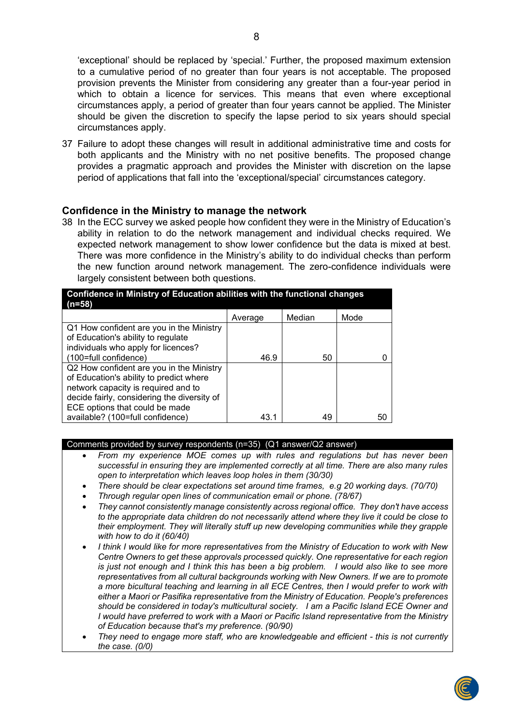'exceptional' should be replaced by 'special.' Further, the proposed maximum extension to a cumulative period of no greater than four years is not acceptable. The proposed provision prevents the Minister from considering any greater than a four-year period in which to obtain a licence for services. This means that even where exceptional circumstances apply, a period of greater than four years cannot be applied. The Minister should be given the discretion to specify the lapse period to six years should special circumstances apply.

37 Failure to adopt these changes will result in additional administrative time and costs for both applicants and the Ministry with no net positive benefits. The proposed change provides a pragmatic approach and provides the Minister with discretion on the lapse period of applications that fall into the 'exceptional/special' circumstances category.

#### **Confidence in the Ministry to manage the network**

38 In the ECC survey we asked people how confident they were in the Ministry of Education's ability in relation to do the network management and individual checks required. We expected network management to show lower confidence but the data is mixed at best. There was more confidence in the Ministry's ability to do individual checks than perform the new function around network management. The zero-confidence individuals were largely consistent between both questions.

| Confidence in Ministry of Education abilities with the functional changes<br>$(n=58)$ |         |        |      |  |  |  |  |  |
|---------------------------------------------------------------------------------------|---------|--------|------|--|--|--|--|--|
|                                                                                       | Average | Median | Mode |  |  |  |  |  |
| Q1 How confident are you in the Ministry                                              |         |        |      |  |  |  |  |  |
| of Education's ability to regulate                                                    |         |        |      |  |  |  |  |  |
| individuals who apply for licences?                                                   |         |        |      |  |  |  |  |  |
| (100=full confidence)                                                                 | 46.9    | 50     |      |  |  |  |  |  |
| Q2 How confident are you in the Ministry                                              |         |        |      |  |  |  |  |  |
| of Education's ability to predict where                                               |         |        |      |  |  |  |  |  |
| network capacity is required and to                                                   |         |        |      |  |  |  |  |  |
| decide fairly, considering the diversity of                                           |         |        |      |  |  |  |  |  |
| ECE options that could be made                                                        |         |        |      |  |  |  |  |  |
| available? (100=full confidence)                                                      | 43.1    | 49     | 50   |  |  |  |  |  |

Comments provided by survey respondents (n=35) (Q1 answer/Q2 answer)

- *From my experience MOE comes up with rules and regulations but has never been successful in ensuring they are implemented correctly at all time. There are also many rules open to interpretation which leaves loop holes in them (30/30)*
- *There should be clear expectations set around time frames, e.g 20 working days. (70/70)*
- *Through regular open lines of communication email or phone. (78/67)*
- *They cannot consistently manage consistently across regional office. They don't have access to the appropriate data children do not necessarily attend where they live it could be close to their employment. They will literally stuff up new developing communities while they grapple with how to do it (60/40)*
- *I think I would like for more representatives from the Ministry of Education to work with New Centre Owners to get these approvals processed quickly. One representative for each region is just not enough and I think this has been a big problem. I would also like to see more representatives from all cultural backgrounds working with New Owners. If we are to promote a more bicultural teaching and learning in all ECE Centres, then I would prefer to work with either a Maori or Pasifika representative from the Ministry of Education. People's preferences should be considered in today's multicultural society. I am a Pacific Island ECE Owner and I would have preferred to work with a Maori or Pacific Island representative from the Ministry of Education because that's my preference. (90/90)*
- *They need to engage more staff, who are knowledgeable and efficient - this is not currently the case. (0/0)*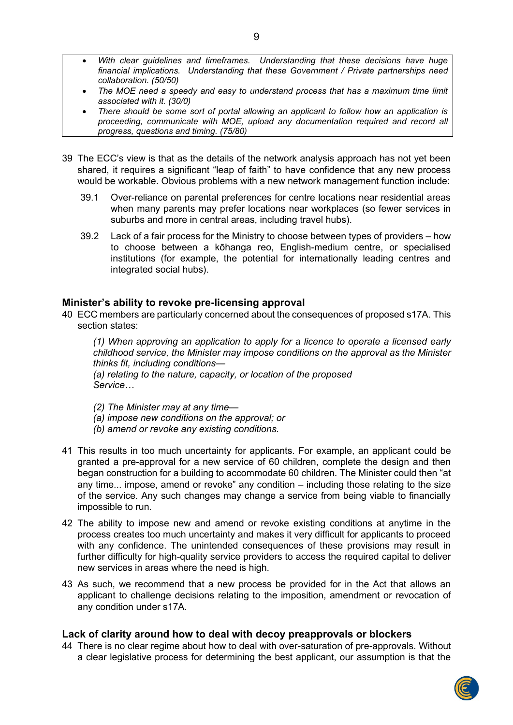- *With clear guidelines and timeframes. Understanding that these decisions have huge financial implications. Understanding that these Government / Private partnerships need collaboration. (50/50)*
- *The MOE need a speedy and easy to understand process that has a maximum time limit associated with it. (30/0)*
- *There should be some sort of portal allowing an applicant to follow how an application is proceeding, communicate with MOE, upload any documentation required and record all progress, questions and timing. (75/80)*
- 39 The ECC's view is that as the details of the network analysis approach has not yet been shared, it requires a significant "leap of faith" to have confidence that any new process would be workable. Obvious problems with a new network management function include:
	- 39.1 Over-reliance on parental preferences for centre locations near residential areas when many parents may prefer locations near workplaces (so fewer services in suburbs and more in central areas, including travel hubs).
	- 39.2 Lack of a fair process for the Ministry to choose between types of providers how to choose between a kōhanga reo, English-medium centre, or specialised institutions (for example, the potential for internationally leading centres and integrated social hubs).

#### **Minister's ability to revoke pre-licensing approval**

40 ECC members are particularly concerned about the consequences of proposed s17A. This section states:

*(1) When approving an application to apply for a licence to operate a licensed early childhood service, the Minister may impose conditions on the approval as the Minister thinks fit, including conditions— (a) relating to the nature, capacity, or location of the proposed* 

*Service…*

- *(2) The Minister may at any time—*
- *(a) impose new conditions on the approval; or*
- *(b) amend or revoke any existing conditions.*
- 41 This results in too much uncertainty for applicants. For example, an applicant could be granted a pre-approval for a new service of 60 children, complete the design and then began construction for a building to accommodate 60 children. The Minister could then "at any time... impose, amend or revoke" any condition – including those relating to the size of the service. Any such changes may change a service from being viable to financially impossible to run.
- 42 The ability to impose new and amend or revoke existing conditions at anytime in the process creates too much uncertainty and makes it very difficult for applicants to proceed with any confidence. The unintended consequences of these provisions may result in further difficulty for high-quality service providers to access the required capital to deliver new services in areas where the need is high.
- 43 As such, we recommend that a new process be provided for in the Act that allows an applicant to challenge decisions relating to the imposition, amendment or revocation of any condition under s17A.

#### **Lack of clarity around how to deal with decoy preapprovals or blockers**

44 There is no clear regime about how to deal with over-saturation of pre-approvals. Without a clear legislative process for determining the best applicant, our assumption is that the

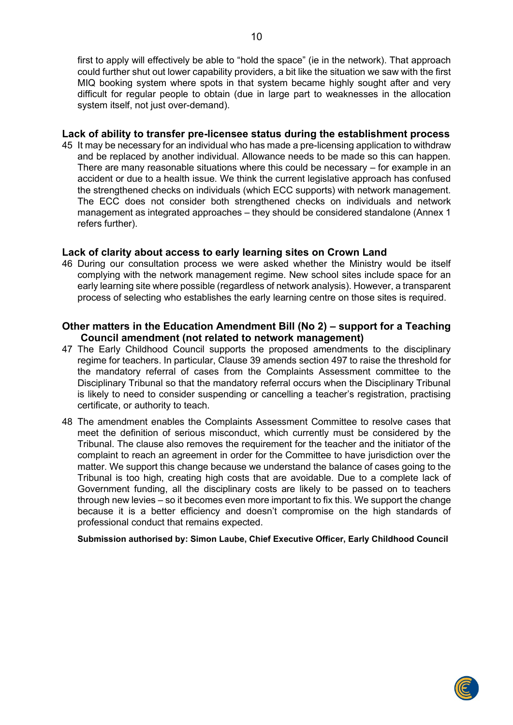first to apply will effectively be able to "hold the space" (ie in the network). That approach could further shut out lower capability providers, a bit like the situation we saw with the first MIQ booking system where spots in that system became highly sought after and very difficult for regular people to obtain (due in large part to weaknesses in the allocation system itself, not just over-demand).

#### **Lack of ability to transfer pre-licensee status during the establishment process**

45 It may be necessary for an individual who has made a pre-licensing application to withdraw and be replaced by another individual. Allowance needs to be made so this can happen. There are many reasonable situations where this could be necessary – for example in an accident or due to a health issue. We think the current legislative approach has confused the strengthened checks on individuals (which ECC supports) with network management. The ECC does not consider both strengthened checks on individuals and network management as integrated approaches – they should be considered standalone (Annex 1 refers further).

# **Lack of clarity about access to early learning sites on Crown Land**

46 During our consultation process we were asked whether the Ministry would be itself complying with the network management regime. New school sites include space for an early learning site where possible (regardless of network analysis). However, a transparent process of selecting who establishes the early learning centre on those sites is required.

# **Other matters in the Education Amendment Bill (No 2) – support for a Teaching Council amendment (not related to network management)**

- 47 The Early Childhood Council supports the proposed amendments to the disciplinary regime for teachers. In particular, Clause 39 amends section 497 to raise the threshold for the mandatory referral of cases from the Complaints Assessment committee to the Disciplinary Tribunal so that the mandatory referral occurs when the Disciplinary Tribunal is likely to need to consider suspending or cancelling a teacher's registration, practising certificate, or authority to teach.
- 48 The amendment enables the Complaints Assessment Committee to resolve cases that meet the definition of serious misconduct, which currently must be considered by the Tribunal. The clause also removes the requirement for the teacher and the initiator of the complaint to reach an agreement in order for the Committee to have jurisdiction over the matter. We support this change because we understand the balance of cases going to the Tribunal is too high, creating high costs that are avoidable. Due to a complete lack of Government funding, all the disciplinary costs are likely to be passed on to teachers through new levies – so it becomes even more important to fix this. We support the change because it is a better efficiency and doesn't compromise on the high standards of professional conduct that remains expected.

**Submission authorised by: Simon Laube, Chief Executive Officer, Early Childhood Council**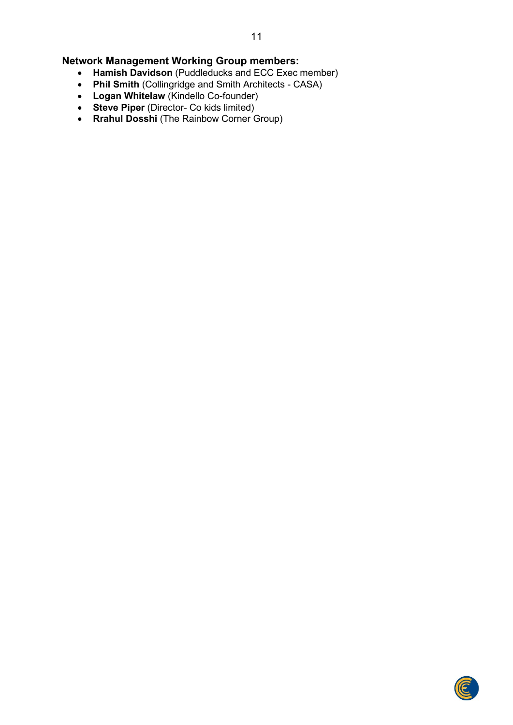# **Network Management Working Group members:**

- **Hamish Davidson** (Puddleducks and ECC Exec member)
- **Phil Smith** (Collingridge and Smith Architects CASA)
- **Logan Whitelaw** (Kindello Co-founder)
- **Steve Piper** (Director- Co kids limited)
- **Rrahul Dosshi** (The Rainbow Corner Group)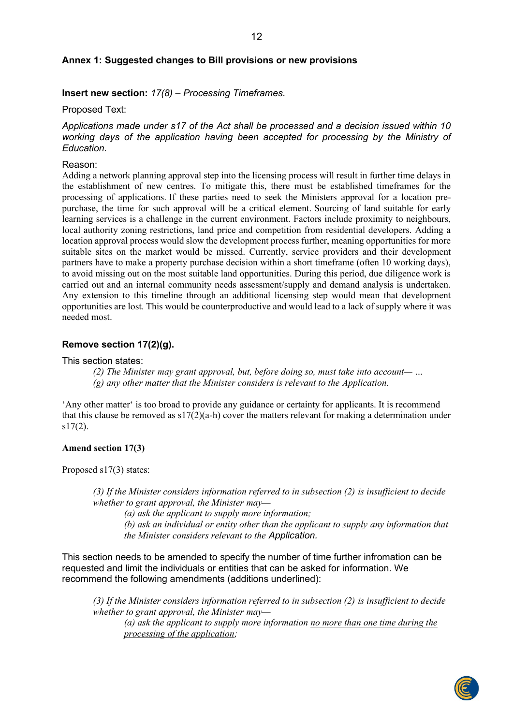#### **Annex 1: Suggested changes to Bill provisions or new provisions**

#### **Insert new section:** *17(8) – Processing Timeframes.*

Proposed Text:

*Applications made under s17 of the Act shall be processed and a decision issued within 10 working days of the application having been accepted for processing by the Ministry of Education.*

#### Reason:

Adding a network planning approval step into the licensing process will result in further time delays in the establishment of new centres. To mitigate this, there must be established timeframes for the processing of applications. If these parties need to seek the Ministers approval for a location prepurchase, the time for such approval will be a critical element. Sourcing of land suitable for early learning services is a challenge in the current environment. Factors include proximity to neighbours, local authority zoning restrictions, land price and competition from residential developers. Adding a location approval process would slow the development process further, meaning opportunities for more suitable sites on the market would be missed. Currently, service providers and their development partners have to make a property purchase decision within a short timeframe (often 10 working days), to avoid missing out on the most suitable land opportunities. During this period, due diligence work is carried out and an internal community needs assessment/supply and demand analysis is undertaken. Any extension to this timeline through an additional licensing step would mean that development opportunities are lost. This would be counterproductive and would lead to a lack of supply where it was needed most.

#### **Remove section 17(2)(g).**

This section states:

*(2) The Minister may grant approval, but, before doing so, must take into account— … (g) any other matter that the Minister considers is relevant to the Application.*

'Any other matter' is too broad to provide any guidance or certainty for applicants. It is recommend that this clause be removed as  $s17(2)(a-h)$  cover the matters relevant for making a determination under  $s17(2)$ .

#### **Amend section 17(3)**

Proposed s17(3) states:

*(3) If the Minister considers information referred to in subsection (2) is insufficient to decide whether to grant approval, the Minister may—*

*(a) ask the applicant to supply more information;*

*(b) ask an individual or entity other than the applicant to supply any information that the Minister considers relevant to the Application.*

This section needs to be amended to specify the number of time further infromation can be requested and limit the individuals or entities that can be asked for information. We recommend the following amendments (additions underlined):

*(3) If the Minister considers information referred to in subsection (2) is insufficient to decide whether to grant approval, the Minister may—*

*(a) ask the applicant to supply more information no more than one time during the processing of the application;*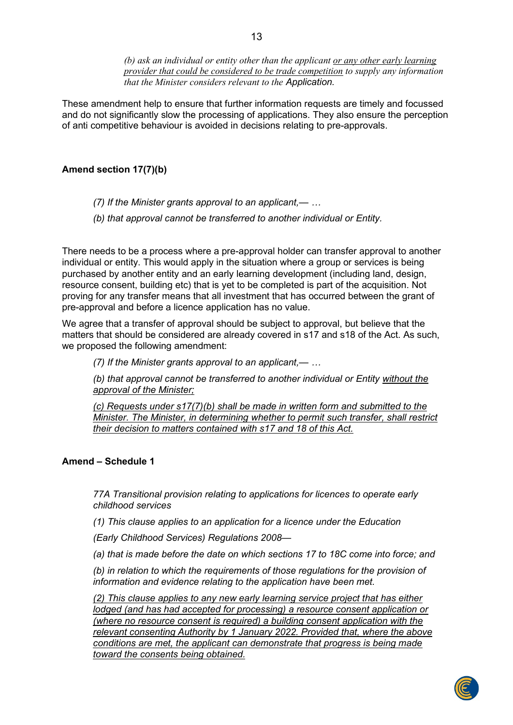*(b) ask an individual or entity other than the applicant or any other early learning provider that could be considered to be trade competition to supply any information that the Minister considers relevant to the Application.*

These amendment help to ensure that further information requests are timely and focussed and do not significantly slow the processing of applications. They also ensure the perception of anti competitive behaviour is avoided in decisions relating to pre-approvals.

## **Amend section 17(7)(b)**

- *(7) If the Minister grants approval to an applicant,— …*
- *(b) that approval cannot be transferred to another individual or Entity.*

There needs to be a process where a pre-approval holder can transfer approval to another individual or entity. This would apply in the situation where a group or services is being purchased by another entity and an early learning development (including land, design, resource consent, building etc) that is yet to be completed is part of the acquisition. Not proving for any transfer means that all investment that has occurred between the grant of pre-approval and before a licence application has no value.

We agree that a transfer of approval should be subject to approval, but believe that the matters that should be considered are already covered in s17 and s18 of the Act. As such, we proposed the following amendment:

*(7) If the Minister grants approval to an applicant,— …*

*(b) that approval cannot be transferred to another individual or Entity without the approval of the Minister;*

*(c) Requests under s17(7)(b) shall be made in written form and submitted to the Minister. The Minister, in determining whether to permit such transfer, shall restrict their decision to matters contained with s17 and 18 of this Act.*

#### **Amend – Schedule 1**

*77A Transitional provision relating to applications for licences to operate early childhood services* 

*(1) This clause applies to an application for a licence under the Education* 

*(Early Childhood Services) Regulations 2008—*

*(a) that is made before the date on which sections 17 to 18C come into force; and* 

*(b) in relation to which the requirements of those regulations for the provision of information and evidence relating to the application have been met.* 

*(2) This clause applies to any new early learning service project that has either lodged (and has had accepted for processing) a resource consent application or (where no resource consent is required) a building consent application with the relevant consenting Authority by 1 January 2022. Provided that, where the above conditions are met, the applicant can demonstrate that progress is being made toward the consents being obtained.*